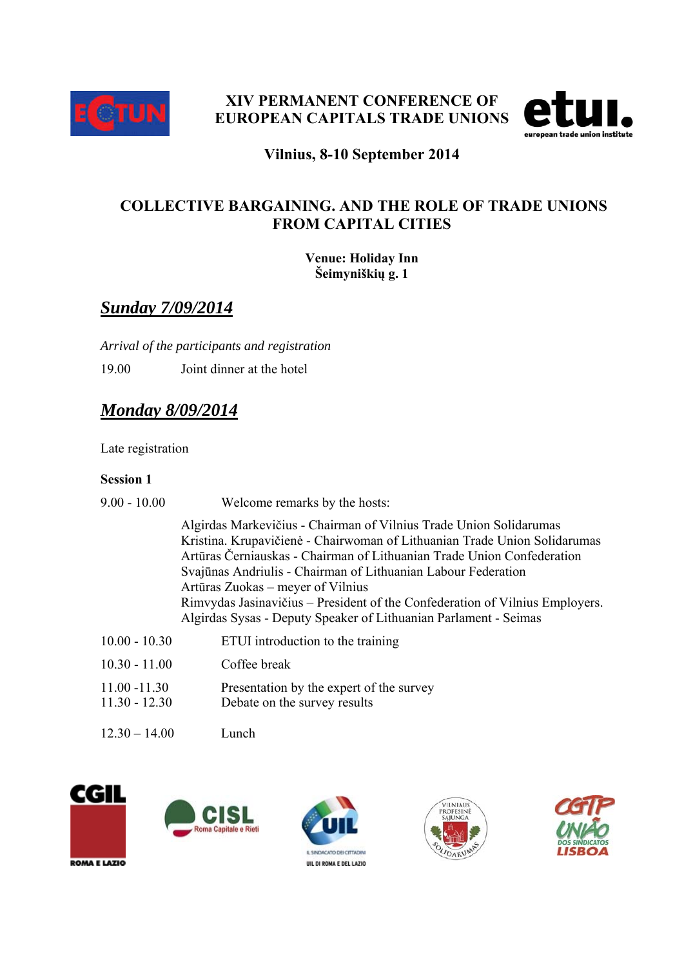



#### **Vilnius, 8-10 September 2014**

#### **COLLECTIVE BARGAINING. AND THE ROLE OF TRADE UNIONS FROM CAPITAL CITIES**

**Venue: Holiday Inn Šeimyniškių g. 1** 

## *Sunday 7/09/2014*

*Arrival of the participants and registration*  19.00 Joint dinner at the hotel

## *Monday 8/09/2014*

Late registration

#### **Session 1**

| $9.00 - 10.00$                     | Welcome remarks by the hosts:                                                                                                                                                                                                                                                                                                                                                                                                                                                       |
|------------------------------------|-------------------------------------------------------------------------------------------------------------------------------------------------------------------------------------------------------------------------------------------------------------------------------------------------------------------------------------------------------------------------------------------------------------------------------------------------------------------------------------|
|                                    | Algirdas Markevičius - Chairman of Vilnius Trade Union Solidarumas<br>Kristina. Krupavičienė - Chairwoman of Lithuanian Trade Union Solidarumas<br>Artūras Černiauskas - Chairman of Lithuanian Trade Union Confederation<br>Svajūnas Andriulis - Chairman of Lithuanian Labour Federation<br>Artūras Zuokas – meyer of Vilnius<br>Rimvydas Jasinavičius – President of the Confederation of Vilnius Employers.<br>Algirdas Sysas - Deputy Speaker of Lithuanian Parlament - Seimas |
| $10.00 - 10.30$                    | ETUI introduction to the training                                                                                                                                                                                                                                                                                                                                                                                                                                                   |
| $10.30 - 11.00$                    | Coffee break                                                                                                                                                                                                                                                                                                                                                                                                                                                                        |
| $11.00 - 11.30$<br>$11.30 - 12.30$ | Presentation by the expert of the survey<br>Debate on the survey results                                                                                                                                                                                                                                                                                                                                                                                                            |
| $12.30 - 14.00$                    | Lunch                                                                                                                                                                                                                                                                                                                                                                                                                                                                               |









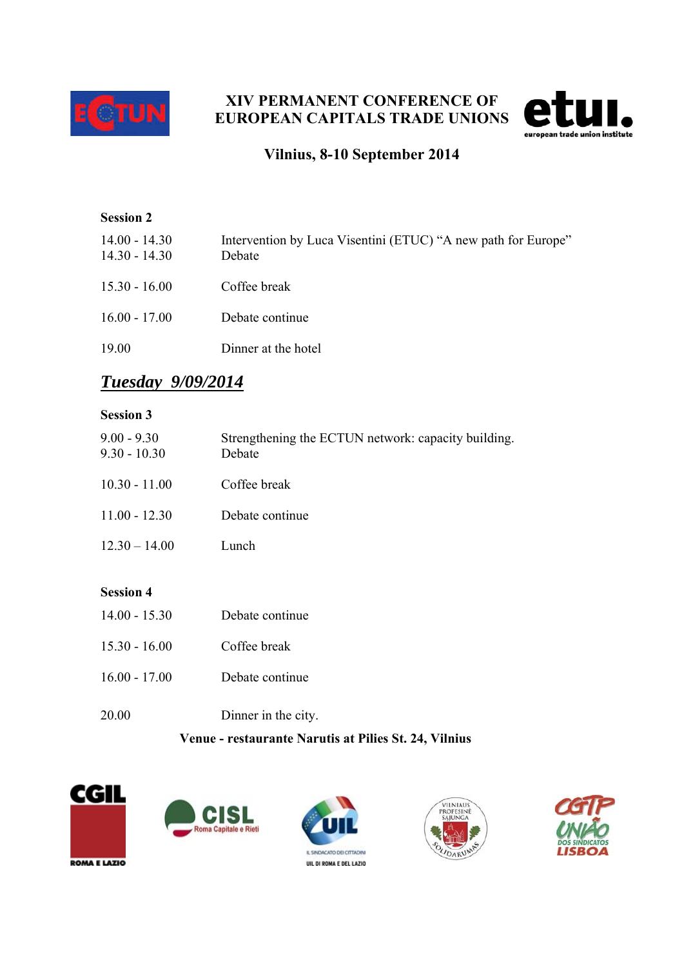

### **XIV PERMANENT CONFERENCE OF EUROPEAN CAPITALS TRADE UNIONS**



### **Vilnius, 8-10 September 2014**

# **Session 2**  14.00 - 14.30 Intervention by Luca Visentini (ETUC) "A new path for Europe" 14.30 - 14.30 Debate 15.30 - 16.00 Coffee break 16.00 - 17.00 Debate continue 19.00 Dinner at the hotel

## *Tuesday 9/09/2014*

#### **Session 3**

| $9.00 - 9.30$<br>$9.30 - 10.30$ | Strengthening the ECTUN network: capacity building.<br>Debate |
|---------------------------------|---------------------------------------------------------------|
| $10.30 - 11.00$                 | Coffee break                                                  |
| $11.00 - 12.30$                 | Debate continue                                               |
| $12.30 - 14.00$                 | Lunch                                                         |
|                                 |                                                               |

#### **Session 4**

| $14.00 - 15.30$ | Debate continue     |
|-----------------|---------------------|
| $1530 - 1600$   | Coffee break        |
| $16.00 - 17.00$ | Debate continue     |
| 20.00           | Dinner in the city. |

#### **Venue - restaurante Narutis at Pilies St. 24, Vilnius**